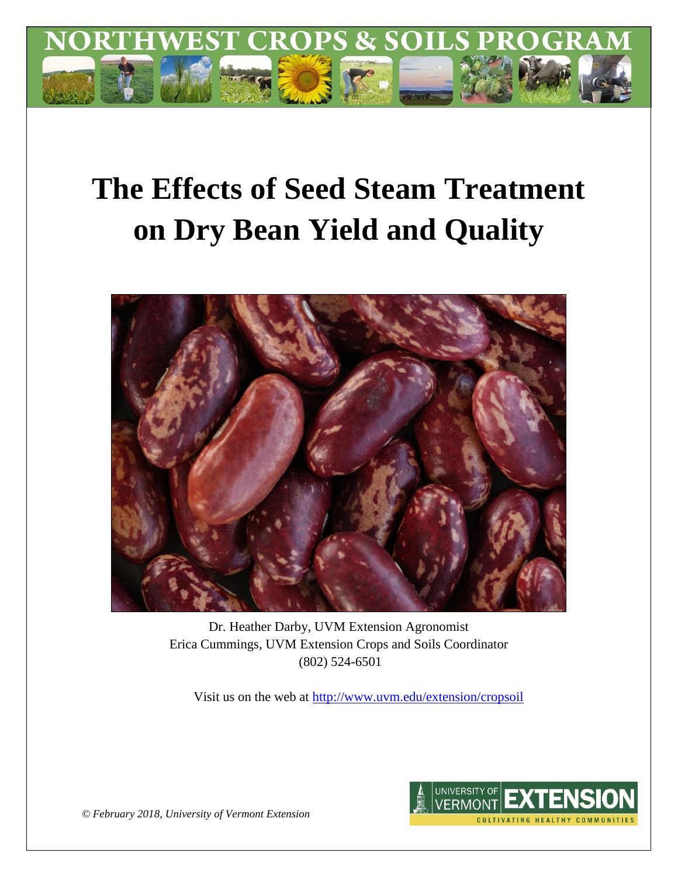

# **The Effects of Seed Steam Treatment on Dry Bean Yield and Quality**



Dr. Heather Darby, UVM Extension Agronomist Erica Cummings, UVM Extension Crops and Soils Coordinator (802) 524-6501

Visit us on the web at<http://www.uvm.edu/extension/cropsoil>



*© February 2018, University of Vermont Extension*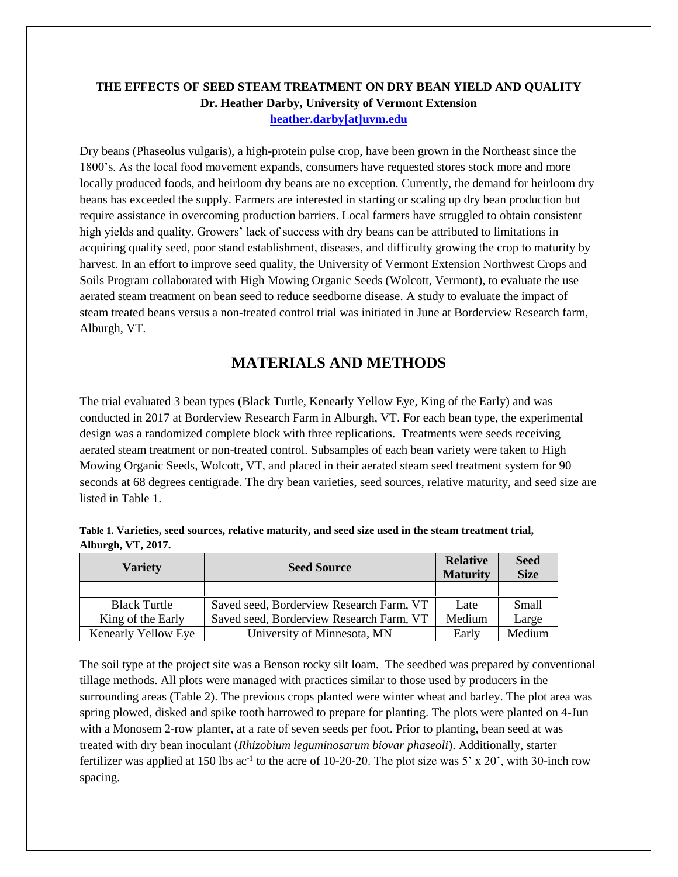#### **THE EFFECTS OF SEED STEAM TREATMENT ON DRY BEAN YIELD AND QUALITY Dr. Heather Darby, University of Vermont Extension [heather.darby\[at\]uvm.edu](mailto:hdarby@uvm.edu?subject=2012%20Winter%20Wheat%20Planting%20Date)**

Dry beans (Phaseolus vulgaris), a high-protein pulse crop, have been grown in the Northeast since the 1800's. As the local food movement expands, consumers have requested stores stock more and more locally produced foods, and heirloom dry beans are no exception. Currently, the demand for heirloom dry beans has exceeded the supply. Farmers are interested in starting or scaling up dry bean production but require assistance in overcoming production barriers. Local farmers have struggled to obtain consistent high yields and quality. Growers' lack of success with dry beans can be attributed to limitations in acquiring quality seed, poor stand establishment, diseases, and difficulty growing the crop to maturity by harvest. In an effort to improve seed quality, the University of Vermont Extension Northwest Crops and Soils Program collaborated with High Mowing Organic Seeds (Wolcott, Vermont), to evaluate the use aerated steam treatment on bean seed to reduce seedborne disease. A study to evaluate the impact of steam treated beans versus a non-treated control trial was initiated in June at Borderview Research farm, Alburgh, VT.

## **MATERIALS AND METHODS**

The trial evaluated 3 bean types (Black Turtle, Kenearly Yellow Eye, King of the Early) and was conducted in 2017 at Borderview Research Farm in Alburgh, VT. For each bean type, the experimental design was a randomized complete block with three replications. Treatments were seeds receiving aerated steam treatment or non-treated control. Subsamples of each bean variety were taken to High Mowing Organic Seeds, Wolcott, VT, and placed in their aerated steam seed treatment system for 90 seconds at 68 degrees centigrade. The dry bean varieties, seed sources, relative maturity, and seed size are listed in Table 1.

| Table 1. Varieties, seed sources, relative maturity, and seed size used in the steam treatment trial, |  |
|-------------------------------------------------------------------------------------------------------|--|
| Alburgh, VT, 2017.                                                                                    |  |

| <b>Variety</b>      | <b>Seed Source</b>                       | <b>Relative</b><br><b>Maturity</b> | <b>Seed</b><br><b>Size</b> |
|---------------------|------------------------------------------|------------------------------------|----------------------------|
|                     |                                          |                                    |                            |
| <b>Black Turtle</b> | Saved seed, Borderview Research Farm, VT | Late                               | Small                      |
| King of the Early   | Saved seed, Borderview Research Farm, VT | Medium                             | Large                      |
| Kenearly Yellow Eye | University of Minnesota, MN              | Early                              | Medium                     |

The soil type at the project site was a Benson rocky silt loam. The seedbed was prepared by conventional tillage methods. All plots were managed with practices similar to those used by producers in the surrounding areas (Table 2). The previous crops planted were winter wheat and barley. The plot area was spring plowed, disked and spike tooth harrowed to prepare for planting. The plots were planted on 4-Jun with a Monosem 2-row planter, at a rate of seven seeds per foot. Prior to planting, bean seed at was treated with dry bean inoculant (*Rhizobium leguminosarum biovar phaseoli*). Additionally, starter fertilizer was applied at 150 lbs  $ac^{-1}$  to the acre of 10-20-20. The plot size was 5' x 20', with 30-inch row spacing.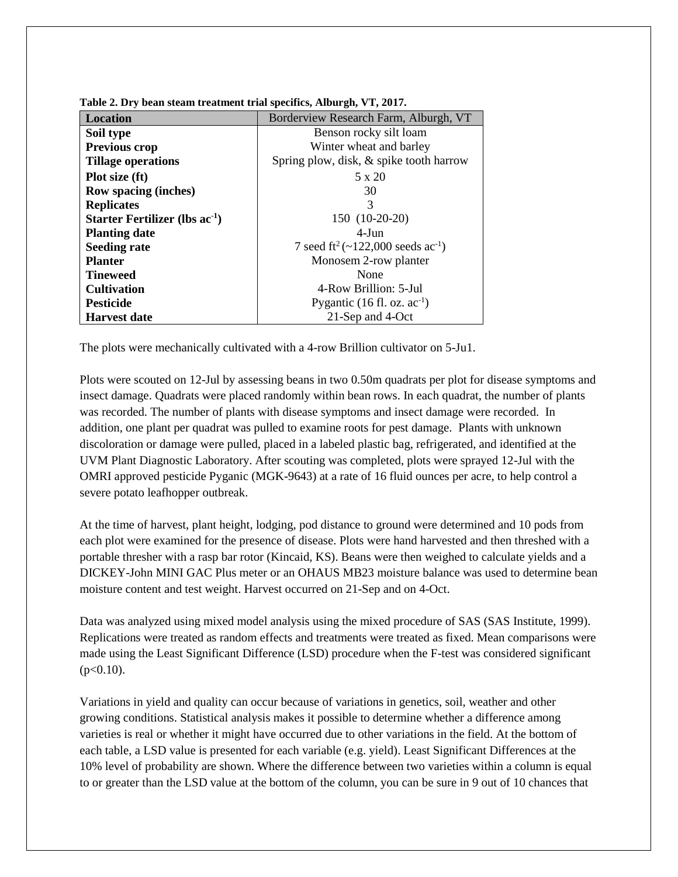| <b>Location</b>                     | Borderview Research Farm, Alburgh, VT                     |  |  |  |
|-------------------------------------|-----------------------------------------------------------|--|--|--|
| Soil type                           | Benson rocky silt loam                                    |  |  |  |
| Previous crop                       | Winter wheat and barley                                   |  |  |  |
| <b>Tillage operations</b>           | Spring plow, disk, & spike tooth harrow                   |  |  |  |
| Plot size (ft)                      | 5 x 20                                                    |  |  |  |
| <b>Row spacing (inches)</b>         | 30                                                        |  |  |  |
| <b>Replicates</b>                   | 3                                                         |  |  |  |
| Starter Fertilizer (lbs $ac^{-1}$ ) | 150 (10-20-20)                                            |  |  |  |
| <b>Planting date</b>                | $4-J$ un                                                  |  |  |  |
| <b>Seeding rate</b>                 | 7 seed ft <sup>2</sup> (~122,000 seeds ac <sup>-1</sup> ) |  |  |  |
| <b>Planter</b>                      | Monosem 2-row planter                                     |  |  |  |
| <b>Tineweed</b>                     | None                                                      |  |  |  |
| <b>Cultivation</b>                  | 4-Row Brillion: 5-Jul                                     |  |  |  |
| <b>Pesticide</b>                    | Pygantic $(16 \text{ fl. oz. ac}^{-1})$                   |  |  |  |
| <b>Harvest date</b>                 | 21-Sep and 4-Oct                                          |  |  |  |

**Table 2. Dry bean steam treatment trial specifics, Alburgh, VT, 2017.**

The plots were mechanically cultivated with a 4-row Brillion cultivator on 5-Ju1.

Plots were scouted on 12-Jul by assessing beans in two 0.50m quadrats per plot for disease symptoms and insect damage. Quadrats were placed randomly within bean rows. In each quadrat, the number of plants was recorded. The number of plants with disease symptoms and insect damage were recorded. In addition, one plant per quadrat was pulled to examine roots for pest damage. Plants with unknown discoloration or damage were pulled, placed in a labeled plastic bag, refrigerated, and identified at the UVM Plant Diagnostic Laboratory. After scouting was completed, plots were sprayed 12-Jul with the OMRI approved pesticide Pyganic (MGK-9643) at a rate of 16 fluid ounces per acre, to help control a severe potato leafhopper outbreak.

At the time of harvest, plant height, lodging, pod distance to ground were determined and 10 pods from each plot were examined for the presence of disease. Plots were hand harvested and then threshed with a portable thresher with a rasp bar rotor (Kincaid, KS). Beans were then weighed to calculate yields and a DICKEY-John MINI GAC Plus meter or an OHAUS MB23 moisture balance was used to determine bean moisture content and test weight. Harvest occurred on 21-Sep and on 4-Oct.

Data was analyzed using mixed model analysis using the mixed procedure of SAS (SAS Institute, 1999). Replications were treated as random effects and treatments were treated as fixed. Mean comparisons were made using the Least Significant Difference (LSD) procedure when the F-test was considered significant  $(p<0.10)$ .

Variations in yield and quality can occur because of variations in genetics, soil, weather and other growing conditions. Statistical analysis makes it possible to determine whether a difference among varieties is real or whether it might have occurred due to other variations in the field. At the bottom of each table, a LSD value is presented for each variable (e.g. yield). Least Significant Differences at the 10% level of probability are shown. Where the difference between two varieties within a column is equal to or greater than the LSD value at the bottom of the column, you can be sure in 9 out of 10 chances that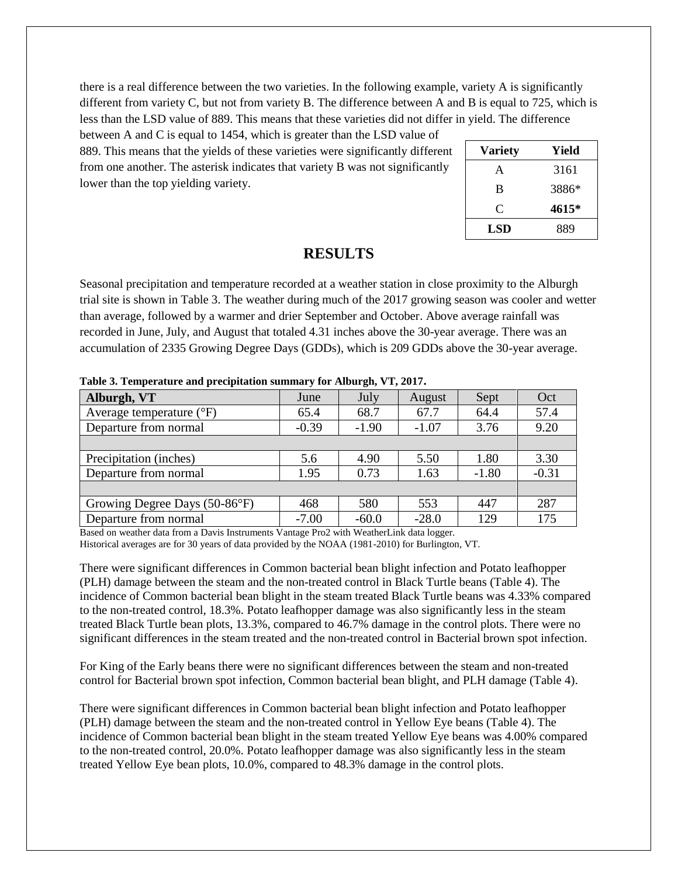there is a real difference between the two varieties. In the following example, variety A is significantly different from variety C, but not from variety B. The difference between A and B is equal to 725, which is less than the LSD value of 889. This means that these varieties did not differ in yield. The difference

between A and C is equal to 1454, which is greater than the LSD value of 889. This means that the yields of these varieties were significantly different from one another. The asterisk indicates that variety B was not significantly lower than the top yielding variety.

| <b>Variety</b> | Yield |
|----------------|-------|
| A              | 3161  |
| B              | 3886* |
| C              | 4615* |
| LSD            | 889   |

#### **RESULTS**

Seasonal precipitation and temperature recorded at a weather station in close proximity to the Alburgh trial site is shown in Table 3. The weather during much of the 2017 growing season was cooler and wetter than average, followed by a warmer and drier September and October. Above average rainfall was recorded in June, July, and August that totaled 4.31 inches above the 30-year average. There was an accumulation of 2335 Growing Degree Days (GDDs), which is 209 GDDs above the 30-year average.

| $-$ which is a complex weaker which provides were distributed to a contract gast $\tau$ and $\tau$ |         |         |         |         |         |  |
|----------------------------------------------------------------------------------------------------|---------|---------|---------|---------|---------|--|
| Alburgh, VT                                                                                        | June    | July    | August  | Sept    | Oct     |  |
| Average temperature $(^{\circ}F)$                                                                  | 65.4    | 68.7    | 67.7    | 64.4    | 57.4    |  |
| Departure from normal                                                                              | $-0.39$ | $-1.90$ | $-1.07$ | 3.76    | 9.20    |  |
|                                                                                                    |         |         |         |         |         |  |
| Precipitation (inches)                                                                             | 5.6     | 4.90    | 5.50    | 1.80    | 3.30    |  |
| Departure from normal                                                                              | 1.95    | 0.73    | 1.63    | $-1.80$ | $-0.31$ |  |
|                                                                                                    |         |         |         |         |         |  |
| Growing Degree Days (50-86°F)                                                                      | 468     | 580     | 553     | 447     | 287     |  |
| Departure from normal                                                                              | $-7.00$ | $-60.0$ | $-28.0$ | 129     | 175     |  |

**Table 3. Temperature and precipitation summary for Alburgh, VT, 2017.**

Based on weather data from a Davis Instruments Vantage Pro2 with WeatherLink data logger. Historical averages are for 30 years of data provided by the NOAA (1981-2010) for Burlington, VT.

There were significant differences in Common bacterial bean blight infection and Potato leafhopper (PLH) damage between the steam and the non-treated control in Black Turtle beans (Table 4). The incidence of Common bacterial bean blight in the steam treated Black Turtle beans was 4.33% compared to the non-treated control, 18.3%. Potato leafhopper damage was also significantly less in the steam treated Black Turtle bean plots, 13.3%, compared to 46.7% damage in the control plots. There were no significant differences in the steam treated and the non-treated control in Bacterial brown spot infection.

For King of the Early beans there were no significant differences between the steam and non-treated control for Bacterial brown spot infection, Common bacterial bean blight, and PLH damage (Table 4).

There were significant differences in Common bacterial bean blight infection and Potato leafhopper (PLH) damage between the steam and the non-treated control in Yellow Eye beans (Table 4). The incidence of Common bacterial bean blight in the steam treated Yellow Eye beans was 4.00% compared to the non-treated control, 20.0%. Potato leafhopper damage was also significantly less in the steam treated Yellow Eye bean plots, 10.0%, compared to 48.3% damage in the control plots.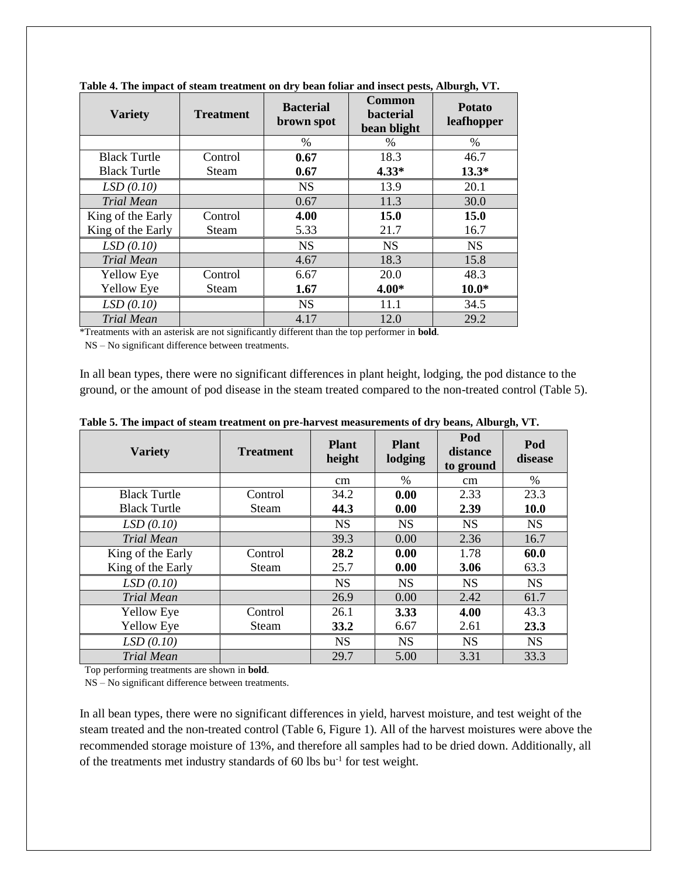| <b>Variety</b>      | <b>Treatment</b> | <b>Bacterial</b><br>brown spot | <b>Common</b><br><b>bacterial</b><br>bean blight | <b>Potato</b><br>leafhopper |
|---------------------|------------------|--------------------------------|--------------------------------------------------|-----------------------------|
|                     |                  | $\%$                           | $\%$                                             | $\%$                        |
| <b>Black Turtle</b> | Control          | 0.67                           | 18.3                                             | 46.7                        |
| <b>Black Turtle</b> | Steam            | 0.67                           | $4.33*$                                          | $13.3*$                     |
| LSD(0.10)           |                  | <b>NS</b>                      | 13.9                                             | 20.1                        |
| <b>Trial Mean</b>   |                  | 0.67                           | 11.3                                             | 30.0                        |
| King of the Early   | Control          | 4.00                           | 15.0                                             | 15.0                        |
| King of the Early   | Steam            | 5.33                           | 21.7                                             | 16.7                        |
| LSD(0.10)           |                  | <b>NS</b>                      | <b>NS</b>                                        | <b>NS</b>                   |
| <b>Trial Mean</b>   |                  | 4.67                           | 18.3                                             | 15.8                        |
| <b>Yellow Eye</b>   | Control          | 6.67                           | 20.0                                             | 48.3                        |
| <b>Yellow Eye</b>   | Steam            | 1.67                           | $4.00*$                                          | $10.0*$                     |
| LSD(0.10)           |                  | <b>NS</b>                      | 11.1                                             | 34.5                        |
| <b>Trial Mean</b>   |                  | 4.17                           | 12.0                                             | 29.2                        |

**Table 4. The impact of steam treatment on dry bean foliar and insect pests, Alburgh, VT.**

\*Treatments with an asterisk are not significantly different than the top performer in **bold**.

NS – No significant difference between treatments.

In all bean types, there were no significant differences in plant height, lodging, the pod distance to the ground, or the amount of pod disease in the steam treated compared to the non-treated control (Table 5).

| <b>Variety</b>      | <b>Treatment</b> | <b>Plant</b><br>height | <b>Plant</b><br>lodging | Pod<br>distance<br>to ground | Pod<br>disease |
|---------------------|------------------|------------------------|-------------------------|------------------------------|----------------|
|                     |                  | cm                     | $\%$                    | cm                           | $\%$           |
| <b>Black Turtle</b> | Control          | 34.2                   | 0.00                    | 2.33                         | 23.3           |
| <b>Black Turtle</b> | <b>Steam</b>     | 44.3                   | 0.00                    | 2.39                         | 10.0           |
| LSD(0.10)           |                  | <b>NS</b>              | <b>NS</b>               | <b>NS</b>                    | <b>NS</b>      |
| <b>Trial Mean</b>   |                  | 39.3                   | 0.00                    | 2.36                         | 16.7           |
| King of the Early   | Control          | 28.2                   | 0.00                    | 1.78                         | 60.0           |
| King of the Early   | <b>Steam</b>     | 25.7                   | 0.00                    | 3.06                         | 63.3           |
| LSD(0.10)           |                  | <b>NS</b>              | <b>NS</b>               | <b>NS</b>                    | <b>NS</b>      |
| <b>Trial Mean</b>   |                  | 26.9                   | 0.00                    | 2.42                         | 61.7           |
| <b>Yellow Eye</b>   | Control          | 26.1                   | 3.33                    | 4.00                         | 43.3           |
| <b>Yellow Eye</b>   | <b>Steam</b>     | <b>33.2</b>            | 6.67                    | 2.61                         | 23.3           |
| LSD(0.10)           |                  | <b>NS</b>              | <b>NS</b>               | <b>NS</b>                    | <b>NS</b>      |
| <b>Trial Mean</b>   |                  | 29.7                   | 5.00                    | 3.31                         | 33.3           |

**Table 5. The impact of steam treatment on pre-harvest measurements of dry beans, Alburgh, VT.**

Top performing treatments are shown in **bold**.

NS – No significant difference between treatments.

In all bean types, there were no significant differences in yield, harvest moisture, and test weight of the steam treated and the non-treated control (Table 6, Figure 1). All of the harvest moistures were above the recommended storage moisture of 13%, and therefore all samples had to be dried down. Additionally, all of the treatments met industry standards of 60 lbs bu-1 for test weight.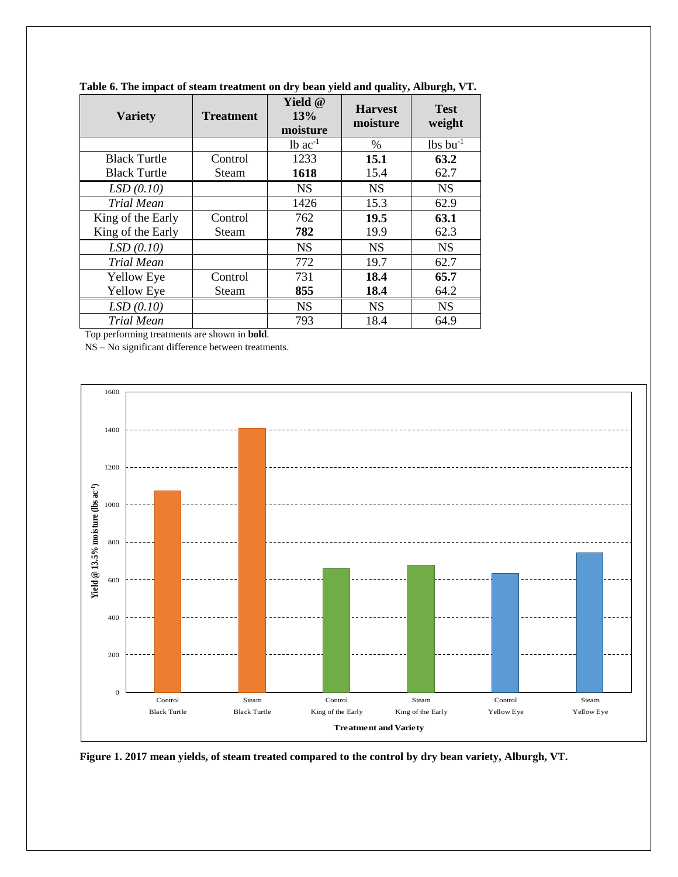| <b>Variety</b>      | <b>Treatment</b> | <b>Yield</b> @<br>13%<br>moisture | <b>Harvest</b><br>moisture | <b>Test</b><br>weight  |
|---------------------|------------------|-----------------------------------|----------------------------|------------------------|
|                     |                  | $1b$ ac <sup>-1</sup>             | $\frac{0}{0}$              | $lbs$ bu <sup>-1</sup> |
| <b>Black Turtle</b> | Control          | 1233                              | 15.1                       | 63.2                   |
| <b>Black Turtle</b> | Steam            | 1618                              | 15.4                       | 62.7                   |
| LSD(0.10)           |                  | <b>NS</b>                         | <b>NS</b>                  | <b>NS</b>              |
| <b>Trial Mean</b>   |                  | 1426                              | 15.3                       | 62.9                   |
| King of the Early   | Control          | 762                               | 19.5                       | 63.1                   |
| King of the Early   | Steam            | 782                               | 19.9                       | 62.3                   |
| LSD(0.10)           |                  | <b>NS</b>                         | <b>NS</b>                  | <b>NS</b>              |
| <b>Trial Mean</b>   |                  | 772                               | 19.7                       | 62.7                   |
| <b>Yellow Eye</b>   | Control          | 731                               | 18.4                       | 65.7                   |
| <b>Yellow Eye</b>   | Steam            | 855                               | 18.4                       | 64.2                   |
| LSD(0.10)           |                  | <b>NS</b>                         | <b>NS</b>                  | <b>NS</b>              |
| Trial Mean          |                  | 793                               | 18.4                       | 64.9                   |

**Table 6. The impact of steam treatment on dry bean yield and quality, Alburgh, VT.**

Top performing treatments are shown in **bold**.

NS – No significant difference between treatments.